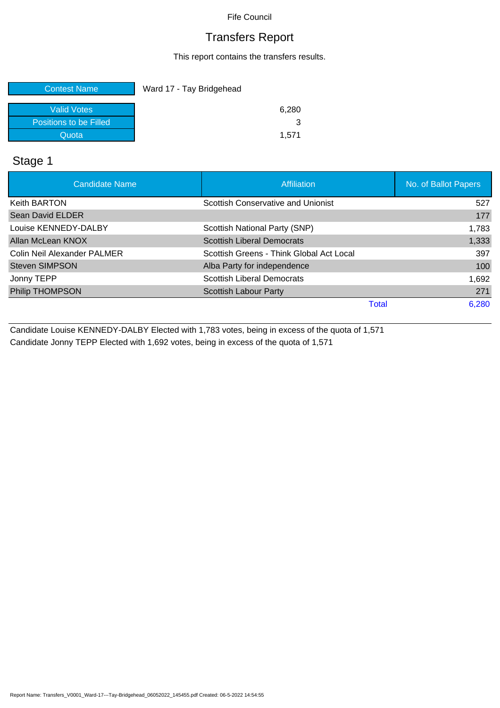### Transfers Report

This report contains the transfers results.

| <b>Contest Name</b>    | Ward 17 - Tay Bridgehead |
|------------------------|--------------------------|
| <b>Valid Votes</b>     | 6,280                    |
| Positions to be Filled |                          |
| Quota                  | 1.571                    |

### Stage 1

| <b>Candidate Name</b>       | Affiliation                              | No. of Ballot Papers |
|-----------------------------|------------------------------------------|----------------------|
| <b>Keith BARTON</b>         | Scottish Conservative and Unionist       | 527                  |
| <b>Sean David ELDER</b>     |                                          | 177                  |
| Louise KENNEDY-DALBY        | Scottish National Party (SNP)            | 1,783                |
| Allan McLean KNOX           | <b>Scottish Liberal Democrats</b>        | 1,333                |
| Colin Neil Alexander PALMER | Scottish Greens - Think Global Act Local | 397                  |
| <b>Steven SIMPSON</b>       | Alba Party for independence              | 100                  |
| Jonny TEPP                  | <b>Scottish Liberal Democrats</b>        | 1,692                |
| <b>Philip THOMPSON</b>      | <b>Scottish Labour Party</b>             | 271                  |
|                             | Total                                    | 6,280                |

Candidate Louise KENNEDY-DALBY Elected with 1,783 votes, being in excess of the quota of 1,571 Candidate Jonny TEPP Elected with 1,692 votes, being in excess of the quota of 1,571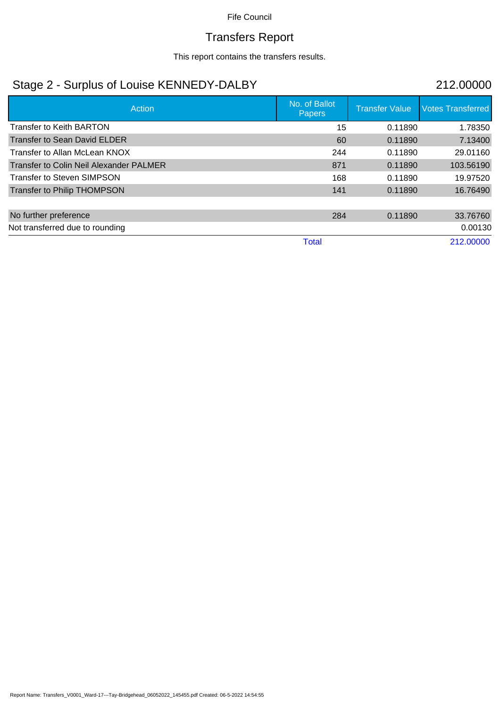# Transfers Report

This report contains the transfers results.

## Stage 2 - Surplus of Louise KENNEDY-DALBY 212.00000

| Action                                  | No. of Ballot<br><b>Papers</b> | <b>Transfer Value</b> | <b>Votes Transferred</b> |
|-----------------------------------------|--------------------------------|-----------------------|--------------------------|
| <b>Transfer to Keith BARTON</b>         | 15                             | 0.11890               | 1.78350                  |
| Transfer to Sean David ELDER            | 60                             | 0.11890               | 7.13400                  |
| Transfer to Allan McLean KNOX           | 244                            | 0.11890               | 29.01160                 |
| Transfer to Colin Neil Alexander PALMER | 871                            | 0.11890               | 103.56190                |
| <b>Transfer to Steven SIMPSON</b>       | 168                            | 0.11890               | 19.97520                 |
| Transfer to Philip THOMPSON             | 141                            | 0.11890               | 16.76490                 |
|                                         |                                |                       |                          |
| No further preference                   | 284                            | 0.11890               | 33.76760                 |
| Not transferred due to rounding         |                                |                       | 0.00130                  |
|                                         | <b>Total</b>                   |                       | 212.00000                |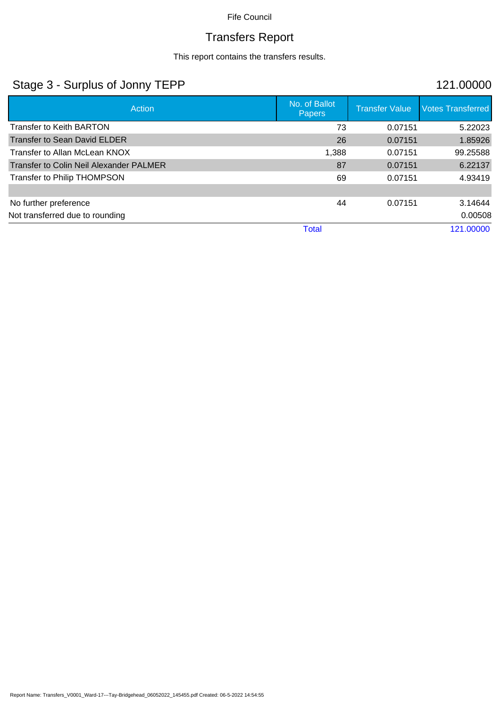# Transfers Report

This report contains the transfers results.

## Stage 3 - Surplus of Jonny TEPP 121.00000

| Action                                         | No. of Ballot<br><b>Papers</b> | <b>Transfer Value</b> | <b>Votes Transferred</b> |
|------------------------------------------------|--------------------------------|-----------------------|--------------------------|
| <b>Transfer to Keith BARTON</b>                | 73                             | 0.07151               | 5.22023                  |
| <b>Transfer to Sean David ELDER</b>            | 26                             | 0.07151               | 1.85926                  |
| Transfer to Allan McLean KNOX                  | 1,388                          | 0.07151               | 99.25588                 |
| <b>Transfer to Colin Neil Alexander PALMER</b> | 87                             | 0.07151               | 6.22137                  |
| Transfer to Philip THOMPSON                    | 69                             | 0.07151               | 4.93419                  |
|                                                |                                |                       |                          |
| No further preference                          | 44                             | 0.07151               | 3.14644                  |
| Not transferred due to rounding                |                                |                       | 0.00508                  |
|                                                | <b>Total</b>                   |                       | 121.00000                |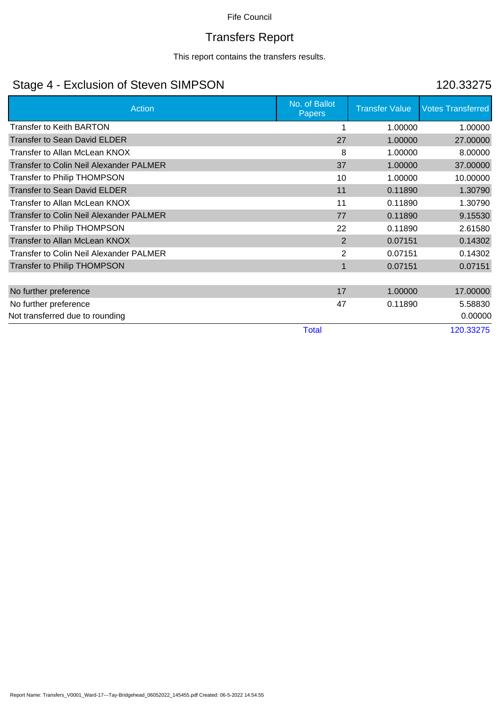# Transfers Report

This report contains the transfers results.

## Stage 4 - Exclusion of Steven SIMPSON 120.33275

| <b>Action</b>                                  | No. of Ballot<br><b>Papers</b> | <b>Transfer Value</b> | <b>Votes Transferred</b> |
|------------------------------------------------|--------------------------------|-----------------------|--------------------------|
| <b>Transfer to Keith BARTON</b>                |                                | 1.00000               | 1.00000                  |
| <b>Transfer to Sean David ELDER</b>            | 27                             | 1.00000               | 27.00000                 |
| Transfer to Allan McLean KNOX                  | 8                              | 1.00000               | 8.00000                  |
| <b>Transfer to Colin Neil Alexander PALMER</b> | 37                             | 1.00000               | 37.00000                 |
| <b>Transfer to Philip THOMPSON</b>             | 10                             | 1.00000               | 10.00000                 |
| <b>Transfer to Sean David ELDER</b>            | 11                             | 0.11890               | 1.30790                  |
| Transfer to Allan McLean KNOX                  | 11                             | 0.11890               | 1.30790                  |
| <b>Transfer to Colin Neil Alexander PALMER</b> | 77                             | 0.11890               | 9.15530                  |
| Transfer to Philip THOMPSON                    | 22                             | 0.11890               | 2.61580                  |
| Transfer to Allan McLean KNOX                  | $\overline{2}$                 | 0.07151               | 0.14302                  |
| Transfer to Colin Neil Alexander PALMER        | $\overline{2}$                 | 0.07151               | 0.14302                  |
| <b>Transfer to Philip THOMPSON</b>             | $\mathbf{1}$                   | 0.07151               | 0.07151                  |
| No further preference                          | 17                             | 1.00000               | 17.00000                 |
| No further preference                          | 47                             | 0.11890               | 5.58830                  |
| Not transferred due to rounding                |                                |                       | 0.00000                  |
|                                                | <b>Total</b>                   |                       | 120.33275                |

Report Name: Transfers\_V0001\_Ward-17---Tay-Bridgehead\_06052022\_145455.pdf Created: 06-5-2022 14:54:55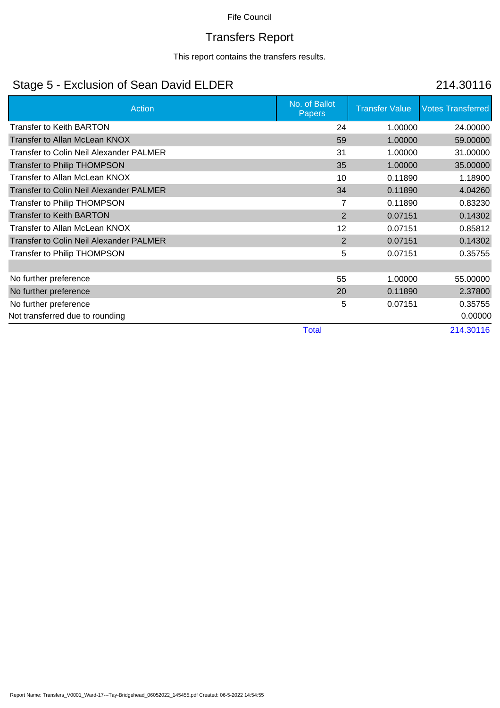# Transfers Report

This report contains the transfers results.

## Stage 5 - Exclusion of Sean David ELDER 214.30116

| Action                                         | No. of Ballot<br><b>Papers</b> | <b>Transfer Value</b> | <b>Votes Transferred</b> |
|------------------------------------------------|--------------------------------|-----------------------|--------------------------|
| <b>Transfer to Keith BARTON</b>                | 24                             | 1.00000               | 24.00000                 |
| Transfer to Allan McLean KNOX                  | 59                             | 1.00000               | 59.00000                 |
| Transfer to Colin Neil Alexander PALMER        | 31                             | 1.00000               | 31.00000                 |
| Transfer to Philip THOMPSON                    | 35                             | 1.00000               | 35.00000                 |
| Transfer to Allan McLean KNOX                  | 10                             | 0.11890               | 1.18900                  |
| <b>Transfer to Colin Neil Alexander PALMER</b> | 34                             | 0.11890               | 4.04260                  |
| <b>Transfer to Philip THOMPSON</b>             | 7                              | 0.11890               | 0.83230                  |
| <b>Transfer to Keith BARTON</b>                | 2                              | 0.07151               | 0.14302                  |
| Transfer to Allan McLean KNOX                  | 12                             | 0.07151               | 0.85812                  |
| <b>Transfer to Colin Neil Alexander PALMER</b> | 2                              | 0.07151               | 0.14302                  |
| Transfer to Philip THOMPSON                    | 5                              | 0.07151               | 0.35755                  |
|                                                |                                |                       |                          |
| No further preference                          | 55                             | 1.00000               | 55.00000                 |
| No further preference                          | 20                             | 0.11890               | 2.37800                  |
| No further preference                          | 5                              | 0.07151               | 0.35755                  |
| Not transferred due to rounding                |                                |                       | 0.00000                  |
|                                                | <b>Total</b>                   |                       | 214.30116                |